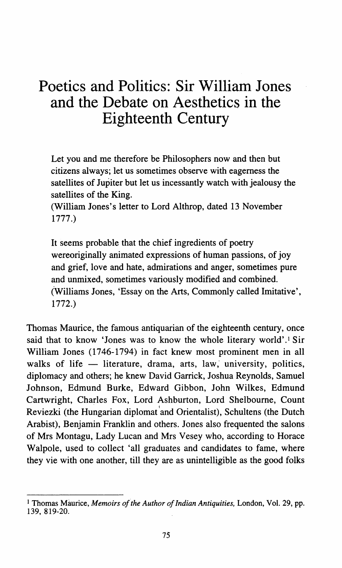# **Poetics and Politics: Sir William Jones and the Debate on Aesthetics in the Eighteenth Century**

Let you and me therefore be Philosophers now and then but citizens always; let us sometimes observe with eagerness the satellites of Jupiter but let us incessantly watch with jealousy the satellites of the King.

(William Jones's letter to Lord Althrop, dated 13 November 1777.)

It seems probable that the chief ingredients of poetry wereoriginally animated expressions of human passions, of joy and grief, love and hate, admirations and anger, sometimes pure and unmixed, sometimes variously modified and combined. (Williams Jones, 'Essay on the Arts, Commonly called Imitative', 1772.)

Thomas Maurice, the famous antiquarian of the eighteenth century, once said that to know 'Jones was to know the whole literary world'.<sup>1</sup> Sir William Jones (1746-1794) in fact knew most prominent men in all walks of life  $-$  literature, drama, arts, law, university, politics, diplomacy and others; he knew David Garrick, Joshua Reynolds, Samuel Johnson, Edmund Burke, Edward Gibbon, John Wilkes, Edmund Cartwright, Charles Fox, Lord Ashburton, Lord Shelboume, Count Reviezki (the Hungarian diplomat and Orientalist), Schultens (the Dutch Arabist), Benjamin Franklin and others. Jones also frequented the salons of Mrs Montagu, Lady Lucan and Mrs Vesey who, according to Horace Walpole, used to collect 'all graduates and candidates to fame, where they vie with one another, till they are as unintelligible as the good folks

<sup>1</sup> Thomas Maurice, *Memoirs of the Author of Indian Antiquities,* London, Vol. 29, pp. 139, 819-20.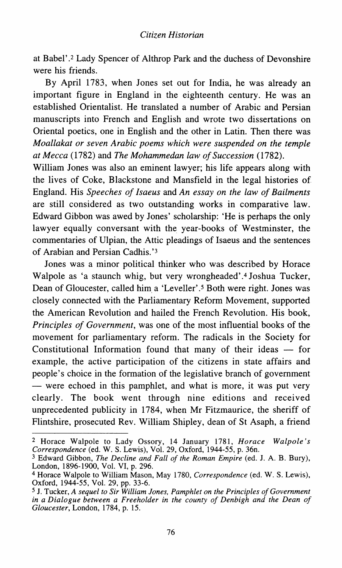at Babel' .2 Lady Spencer of Althrop Park and the duchess of Devonshire were his friends.

By April 1783, when Jones set out for India, he was already an important figure in England in the eighteenth century. He was an established Orientalist. He translated a number of Arabic and Persian manuscripts into French and English and wrote two dissertations on Oriental poetics, one in English and the other in Latin. Then there was *Moallakat or seven Arabic poems which were suspended on the temple at Mecca* (1782) and *The Mohammedan law of Succession* (1782).

William Jones was also an eminent lawyer; his life appears along with the lives of Coke, Blackstone and Mansfield in the legal histories of England. His *Speeches of /saeus* and *An essay on the law of Bailments*  are still considered as two outstanding works in comparative law. Edward Gibbon was awed by Jones' scholarship: 'He is perhaps the only lawyer equally conversant with the year-books of Westminster, the commentaries of Ulpian, the Attic pleadings of Isaeus and the sentences of Arabian and Persian Cadhis.'3

Jones was a minor political thinker who was described by Horace Walpole as 'a staunch whig, but very wrongheaded'.<sup>4</sup> Joshua Tucker, Dean of Gloucester, called him a 'Leveller'.<sup>5</sup> Both were right. Jones was closely connected with the Parliamentary Reform Movement, supported the American Revolution and hailed the French Revolution. His book, *Principles of Government,* was one of the most influential books of the movement for parliamentary reform. The radicals in the Society for Constitutional Information found that many of their ideas  $-$  for example, the active participation of the citizens in state affairs and people's choice in the formation of the legislative branch of government - were echoed in this pamphlet, and what is more, it was put very clearly. The book went through nine editions and received unprecedented publicity in 1784, when Mr Fitzmaurice, the sheriff of Flintshire, prosecuted Rev. William Shipley, dean of St Asaph, a friend

<sup>2</sup> Horace Walpole to Lady Ossory, 14 January 1781, *Horace Walpole's Correspondence* (ed. W. S. Lewis), Vol. 29, Oxford, 1944-55, p. 36n.

<sup>3</sup> Edward Gibbon, *The Decline and Fall of the Roman Empire* (ed. J. A. B. Bury), London, 1896-1900, Vol. VI, p. 296.

<sup>4</sup> Horace Walpole to William Mason, May 1780, *Correspondence* (ed. W. S. Lewis), Oxford, 1944-55, Vol. 29, pp. 33-6.

<sup>5</sup> J. Tucker, *A sequel to* Sir *William Jones, Pamphlet on the Principles of Government*  in *a Dialogue between a Freeholder* in *the county of Denbigh and the Dean of Gloucester,* London, 1784, p. 15.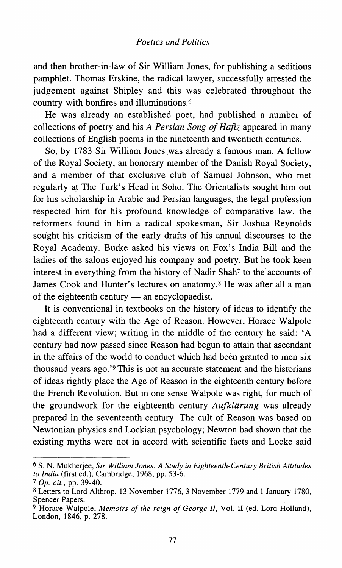and then brother-in-law of Sir William Jones, for publishing a seditious pamphlet. Thomas Erskine, the radical lawyer, successfully arrested the judgement against Shipley and this was celebrated throughout the country with bonfires and illuminations. 6

He was already an established poet, had published a number of collections of poetry and his *A Persian Song of Hafiz* appeared in many collections of English poems in the nineteenth and twentieth centuries.

So, by 1783 Sir William Jones was already a famous man. A fellow of the Royal Society, an honorary member of the Danish Royal Society, and a member of that exclusive club of Samuel Johnson, who met regularly at The Turk's Head in Soho. The Orientalists sought him out for his scholarship in Arabic and Persian languages, the legal profession respected him for his profound knowledge of comparative law, the reformers found in him a radical spokesman, Sir Joshua Reynolds sought his criticism of the early drafts of his annual discourses to the Royal Academy. Burke asked his views on Fox's India Bill and the ladies of the salons enjoyed his company and poetry. But he took keen interest in everything from the history of Nadir Shah<sup>7</sup> to the accounts of James Cook and Hunter's lectures on anatomy. 8 He was after all a man of the eighteenth century  $-$  an encyclopaedist.

It is conventional in textbooks on the history of ideas to identify the eighteenth century with the Age of Reason. However, Horace Walpole had a different view; writing in the middle of the century he said: 'A century had now passed since Reason had begun to attain that ascendant in the affairs of the world to conduct which had been granted to men six thousand years ago. '9 This is not an accurate statement and the historians of ideas rightly place the Age of Reason in the eighteenth century before the French Revolution. But in one sense Walpole was right, for much of the groundwork for the eighteenth century *Aufkliirung* was already prepared in the seventeenth century. The cult of Reason was based on Newtonian physics and Lockian psychology; Newton had shown that the existing myths were not in accord with scientific facts and Locke said

<sup>6</sup> S. N. Mukherjee, *Sir William Jones: A Study in Eighteenth-Century British Attitudes to India* (first ed.), Cambridge, 1968, pp. 53-6.

<sup>7</sup> *Op. cit.,* pp. 39-40.

<sup>8</sup> Letters to Lord Althrop, 13 November 1776,3 November 1779 and I January 1780, Spencer Papers.

<sup>9</sup> Horace Walpole, *Memoirs of the reign of George II,* Vol. II (ed. Lord Holland), London, 1846, p. 278.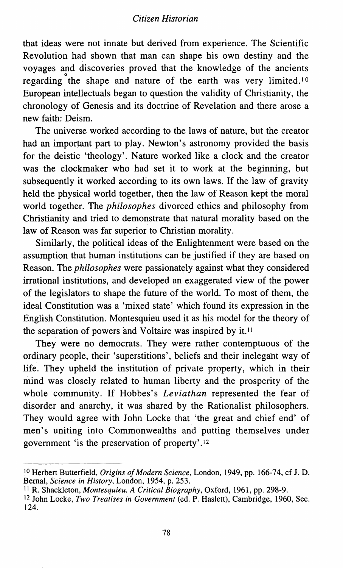# *Citizen Historian*

that ideas were not innate but derived from experience. The Scientific Revolution had shown that man can shape his own destiny and the voyages and discoveries proved that the knowledge of the ancients regarding the shape and nature of the earth was very limited.<sup>10</sup> European intellectuals began to question the validity of Christianity, the chronology of Genesis and its doctrine of Revelation and there arose a new faith: Deism.

The universe worked according to the laws of nature, but the creator had an important part to play. Newton's astronomy provided the basis for the deistic 'theology'. Nature worked like a clock and the creator was the clockmaker who had set it to work at the beginning, but subsequently it worked according to its own laws. If the law of gravity held the physical world together, then the law of Reason kept the moral world together. The *philosophes* divorced ethics and philosophy from Christianity and tried to demonstrate that natural morality based on the law of Reason was far superior to Christian morality.

Similarly, the political ideas of the Enlightenment were based on the assumption that human institutions can be justified if they are based on Reason. The *philosophes* were passionately against what they considered irrational institutions, and developed an exaggerated view of the power of the legislators to shape the future of the world. To most of them, the ideal Constitution was a 'mixed state' which found its expression in the English Constitution. Montesquieu used it as his model for the theory of the separation of powers and Voltaire was inspired by it.<sup>11</sup>

They were no democrats. They were rather contemptuous of the ordinary people, their 'superstitions', beliefs and their inelegant way of life. They upheld the institution of private property, which in their mind was closely related to human liberty and the prosperity of the whole community. If Hobbes's *Leviathan* represented the fear of disorder and anarchy, it was shared by the Rationalist philosophers. They would agree with John Locke that 'the great and chief end' of men's uniting into Commonwealths and putting themselves under government 'is the preservation of property' .12

IO Herbert Butterfield, *Origins of Modern Science,* London, 1949, pp. 166-74, cf J.D. Bernal, *Science in History,* London, 1954, p. 253.

II R. Shackleton, *Montesquieu. A Critical Biography,* Oxford, 1961, pp. 298-9.

<sup>12</sup> John Locke, *Two Treatises in Government* (ed. P. Haslett), Cambridge, 1960, Sec. 124.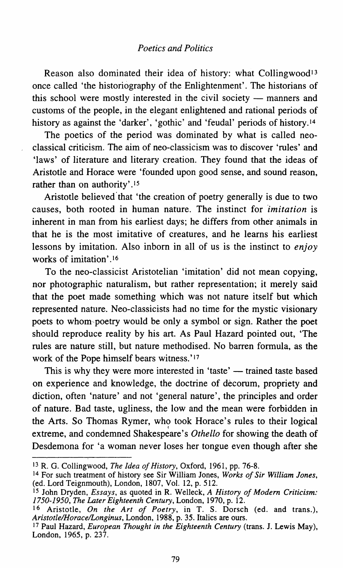Reason also dominated their idea of history: what Collingwood<sup>13</sup> once called 'the historiography of the Enlightenment'. The historians of this school were mostly interested in the civil society — manners and customs of the people, in the elegant enlightened and rational periods of history as against the 'darker', 'gothic' and 'feudal' periods of history.<sup>14</sup>

The poetics of the period was dominated by what is called neoclassical criticism. The aim of neo-classicism was to discover 'rules' and 'laws' of literature and literary creation. They found that the ideas of Aristotle and Horace were 'founded upon good sense, and sound reason, rather than on authority'.<sup>15</sup>

Aristotle believed that 'the creation of poetry generally is due to two causes, both rooted in human nature. The instinct for *imitation* is inherent in man from his earliest days; he differs from other animals in that he is the most imitative of creatures, and he learns his earliest lessons by imitation. Also inborn in all of us is the instinct to *enjoy*  works of imitation'.<sup>16</sup>

To the neo-classicist Aristotelian 'imitation' did not mean copying, nor photographic naturalism, but rather representation; it merely said that the poet made something which was not nature itself but which represented nature. Neo-classicists had no time for the mystic visionary poets to whom,poetry would be only a symbol or sign. Rather the poet should reproduce reality by his art. As Paul Hazard pointed out, 'The rules are nature still, but nature methodised. No barren formula, as the work of the Pope himself bears witness.'<sup>17</sup>

This is why they were more interested in 'taste' — trained taste based on experience and knowledge, the doctrine of decorum, propriety and diction, often 'nature' and not 'general nature', the principles and order of nature. Bad taste, ugliness, the low and the mean were forbidden in the Arts. So Thomas Rymer, who took Horace's rules to their logical extreme, and condemned Shakespeare's *Othello* for showing the death of Desdemona for 'a woman never loses her tongue even though after she

<sup>13</sup>R. G. Collingwood, *The Idea of History,* Oxford, 1961, pp. 76-8.

<sup>14</sup> For such treatment of history see Sir William Jones, *Works of Sir William Jones,*  (ed. Lord Teignmouth), London, 1807, Vol. 12, p. 512.

<sup>15</sup> John Dryden, *Essays,* as quoted in R. Welleck, *A History of Modem Criticism: 1750-1950, The Later Eighteenth Century,* London, 1970, p. 12.

<sup>16</sup> Aristotle, *On the Art of Poetry,* in T. S. Dorsch (ed. and trans.), *Aristotle/Horace/Longinus,* London, 1988, p. 35. Italics are ours.

<sup>17</sup> Paul Hazard, *European Thought in the Eighteenth Century* (trans. J. Lewis May), London, 1965, p. 237.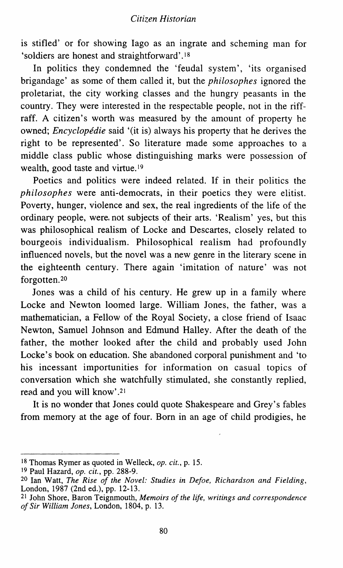is stifled' or for showing Iago as an ingrate and scheming man for 'soldiers are honest and straightforward' .18

In politics they condemned the 'feudal system', 'its organised brigandage' as some of them called it, but the *philosophes* ignored the proletariat, the city working classes and the hungry peasants in the country. They were interested in the respectable people, not in the riffraff. A citizen's worth was measured by the amount of property he owned; *Encyclopédie* said '(it is) always his property that he derives the right to be represented'. So literature made some approaches to a middle class public whose distinguishing marks were possession of wealth, good taste and virtue.19

Poetics and politics were indeed related. If in their politics the *philosophes* were anti-democrats, in their poetics they were elitist. Poverty, hunger, violence and sex, the real ingredients of the life of the ordinary people, were. not subjects of their arts. 'Realism' yes, but this was philosophical realism of Locke and Descartes, closely related to bourgeois individualism. Philosophical realism had profoundly influenced novels, but the novel was a new genre in the literary scene in the eighteenth century. There again 'imitation of nature' was not forgotten.2o

Jones was a child of his century. He grew up in a family where Locke and Newton loomed large. William Jones, the father, was a mathematician, a Fellow of the Royal Society, a close friend of Isaac Newton, Samuel Johnson and Edmund Halley. After the death of the father, the mother looked after the child and probably used John Locke's book on education. She abandoned corporal punishment and 'to his incessant importunities for information on casual topics of conversation which she watchfully stimulated, she constantly replied, read and you will know' .21

It is no wonder that Jones could quote Shakespeare and Grey's fables from memory at the age of four. Born in an age of child prodigies, he

<sup>18</sup> Thomas Rymer as quoted in Welleck, *op.* cit., p. 15.

<sup>19</sup> Paul Hazard, *op.* cit., pp. 288-9.

<sup>20</sup> Ian Watt, *The Rise of the Novel: Studies* in *Defoe, Richardson and Fielding,*  London, 1987 (2nd ed.), pp. 12-13.

<sup>21</sup> John Shore, Baron Teignmouth, *Memoirs of the life, writings and correspondence of* Sir *William Jones,* London, 1804, p. 13.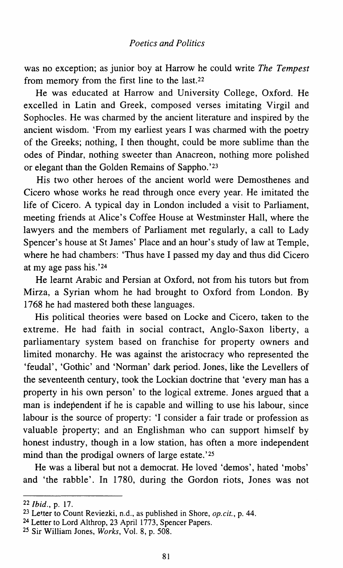was no exception; as junior boy at Harrow he could write *The Tempest*  from memory from the first line to the last.22

He was educated at Harrow and University College, Oxford. He excelled in Latin and Greek, composed verses imitating Virgil and Sophocles. He was charmed by the ancient literature and inspired by the ancient wisdom. 'From my earliest years I was charmed with the poetry of the Greeks; nothing, I then thought, could be more sublime than the odes of Pindar, nothing sweeter than Anacreon, nothing more polished or elegant than the Golden Remains of Sappho.'23

His two other heroes of the ancient world were Demosthenes and Cicero whose works he read through once every year. He imitated the life of Cicero. A typical day in London included a visit to Parliament, meeting friends at Alice's Coffee House at Westminster Hall, where the lawyers and the members of Parliament met regularly, a call to Lady Spencer's house at St James' Place and an hour's study of law at Temple, where he had chambers: 'Thus have I passed my day and thus did Cicero at my age pass his. '24

He learnt Arabic and Persian at Oxford, not from his tutors but from Mirza, a Syrian whom he had brought to Oxford from London. By 1768 he had mastered both these languages.

His political theories were based on Locke and Cicero, taken to the extreme. He had faith in social contract, Anglo-Saxon liberty, a parliamentary system based on franchise for property owners and limited monarchy. He was against the aristocracy who represented the 'feudal', 'Gothic' and 'Norman' dark period. Jones, like the Levellers of the seventeenth century, took the Lockian doctrine that 'every man has a property in his own person' to the logical extreme. Jones argued that a man is independent if he is capable and willing to use his labour, since labour is the source of property: 'I consider a fair trade or profession as valuable property; and an Englishman who can support himself by honest industry, though in a low station, has often a more independent mind than the prodigal owners of large estate.'25

He was a liberal but not a democrat. He loved 'demos', hated 'mobs' and 'the rabble'. In 1780, during the Gordon riots, Jones was not

<sup>22</sup> *Ibid.*, p. 17.

<sup>&</sup>lt;sup>23</sup> Letter to Count Reviezki, n.d., as published in Shore, *op.cit.*, p. 44.

<sup>&</sup>lt;sup>24</sup> Letter to Lord Althrop, 23 April 1773, Spencer Papers.

<sup>25</sup> Sir William Jones, *Works,* Vol. 8, p. 508.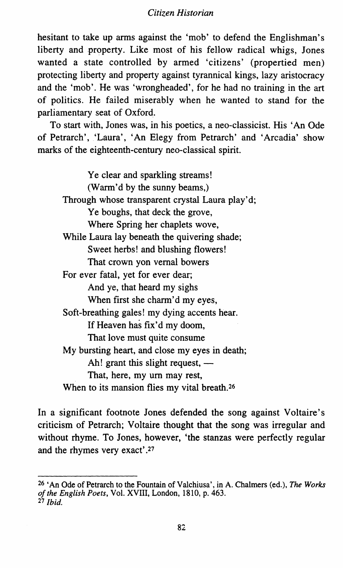hesitant to take up arms against the 'mob' to defend the Englishman's liberty and property. Like most of his fellow radical whigs, Jones wanted a state controlled by armed 'citizens' (propertied men) protecting liberty and property against tyrannical kings, lazy aristocracy and the 'mob'. He was 'wrongheaded', for he had no training in the art of politics. He failed miserably when he wanted to stand for the parliamentary seat of Oxford.

To start with, Jones was, in his poetics, a neo-classicist. His 'An Ode of Petrarch', 'Laura', 'An Elegy from Petrarch' and 'Arcadia' show marks of the eighteenth-century neo-classical spirit.

Ye clear and sparkling streams! (Warm'd by the sunny beams,) Through whose transparent crystal Laura play'd: Ye boughs, that deck the grove, Where Spring her chaplets wove, While Laura lay beneath the quivering shade; Sweet herbs! and blushing flowers! That crown yon vernal bowers For ever fatal, yet for ever dear; And ye, that heard my sighs When first she charm'd my eyes, Soft-breathing gales! my dying accents hear. If Heaven has fix'd my doom, That love must quite consume My bursting heart, and close my eyes in death; Ah! grant this slight request,  $-$ That, here, my urn may rest, When to its mansion flies my vital breath.<sup>26</sup>

In a significant footnote Jones defended the song against Voltaire's criticism of Petrarch; Voltaire thought that the song was irregular and without rhyme. To Jones, however, 'the stanzas were perfectly regular and the rhymes very exact' .27

<sup>&</sup>lt;sup>26</sup> 'An Ode of Petrarch to the Fountain of Valchiusa', in A. Chalmers (ed.), *The Works of the English Poets,* Vol. XVIII, London, 1810, p. 463. <sup>27</sup>*Ibid.*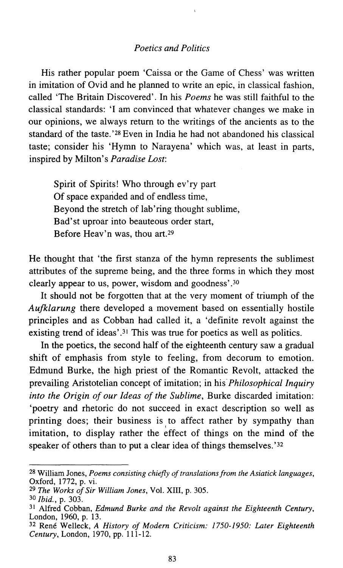His rather popular poem 'Caissa or the Game of Chess' was written in imitation of Ovid and he planned to write an epic, in classical fashion, called 'The Britain Discovered'. In his *Poems* he was still faithful to the classical standards: 'I am convinced that whatever changes we make in our opinions, we always return to the writings of the ancients as to the standard of the taste. '28 Even in India he had not abandoned his classical taste; consider his 'Hymn to Narayena' which was, at least in parts, inspired by Milton's *Paradise Lost:* 

Spirit of Spirits! Who through ev'ry part Of space expanded and of endless time, Beyond the stretch of lab'ring thought sublime, Bad'st uproar into beauteous order start, Before Heav'n was, thou art.29

He thought that 'the first stanza of the hymn represents the sublimest attributes of the supreme being, and the three forms in which they most clearly appear to us, power, wisdom and goodness' .3o

It should not be forgotten that at the very moment of triumph of the *Aufklarung* there developed a movement based on essentially hostile principles and as Cobban had called it, a 'definite revolt against the existing trend of ideas'.<sup>31</sup> This was true for poetics as well as politics.

In the poetics, the second half of the eighteenth century saw a gradual shift of emphasis from style to feeling, from decorum to emotion. Edmund Burke, the high priest of the Romantic Revolt, attacked the prevailing Aristotelian concept of imitation; in his *Philosophical Inquiry into the Origin of our Ideas of the Sublime,* Burke discarded imitation: 'poetry and rhetoric do not succeed in exact description so well as printing does; their business is to affect rather by sympathy than imitation, to display rather the effect of things on the mind of the speaker of others than to put a clear idea of things themselves. '32

<sup>29</sup>*The Works of* Sir *William Jones,* Vol. XIII, p. 305.

32 Rene Welleck, *A History of Modem Criticism: 1750-1950: Later Eighteenth Century,* London, 1970, pp. 111-12.

<sup>28</sup> William Jones, *Poems consisting chiefly of translations from the Asiatick languages,*  Oxford, 1772, p. vi.

<sup>30</sup> *Ibid.,* p. 303.

<sup>31</sup> Alfred Cobban, *Edmund Burke and the Revolt against the Eighteenth Century,*  London, 1960, p. 13.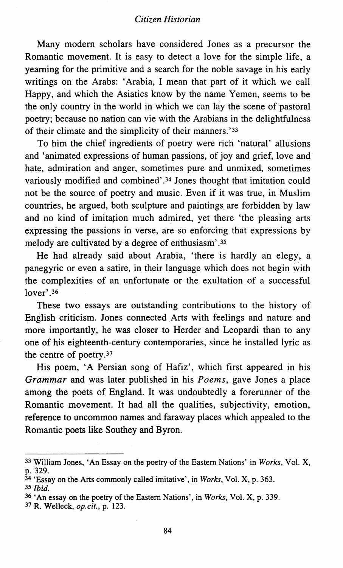# *Citizen Historian*

Many modern scholars have considered Jones as a precursor the Romantic movement. It is easy to detect a love for the simple life, a yearning for the primitive and a search for the noble savage in his early writings on the Arabs: 'Arabia, I mean that part of it which we call Happy, and which the Asiatics know by the name Yemen, seems to be the only country in the world in which we can lay the scene of pastoral poetry; because no nation can vie with the Arabians in the delightfulness of their climate and the simplicity of their manners.'33

To him the chief ingredients of poetry were rich 'natural' allusions and 'animated expressions of human passions, of joy and grief, love and hate, admiration and anger, sometimes pure and unmixed, sometimes variously modified and combined'.<sup>34</sup> Jones thought that imitation could not be the source of poetry and music. Even if it was true, in Muslim countries, he argued, both sculpture and paintings are forbidden by law and no kind of imitation much admired, yet there 'the pleasing arts expressing the passions in verse, are so enforcing that expressions by melody are cultivated by a degree of enthusiasm' .35

He had already said about Arabia, 'there is hardly an elegy, a panegyric or even a satire, in their language which does not begin with the complexities of an unfortunate or the exultation of a successful lover'.<sup>36</sup>

These two essays are outstanding contributions to the history of English criticism. Jones connected Arts with feelings and nature and more importantly, he was closer to Herder and Leopardi than to any one of his eighteenth-century contemporaries, since he installed lyric as the centre of poetry.37

His poem, 'A Persian song of Hafiz', which first appeared in his *Grammar* and was later published in his *Poems,* gave Jones a place among the poets of England. It was undoubtedly a forerunner of the Romantic movement. It had all the qualities, subjectivity, emotion, reference to uncommon names and faraway places which appealed to the Romantic poets like Southey and Byron.

<sup>33</sup> William Jones, 'An Essay on the poetry of the Eastern Nations' in *Works,* Vol. X, p. 329.

<sup>34 &#</sup>x27;Essay on the Arts commonly called imitative', in *Works,* Vol. X, p. 363.

<sup>35</sup> *Ibid.* 

<sup>36</sup> 'An essay on the poetry of the Eastern Nations', in *Works,* Vol. X, p. 339.

<sup>37</sup> R. Welleck, *op.cit.,* p. 123.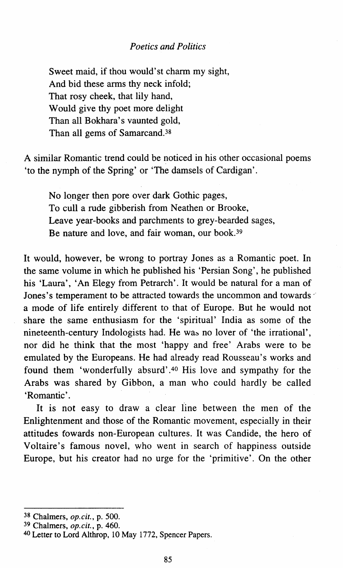Sweet maid, if thou would'st charm my sight, And bid these arms thy neck infold; That rosy cheek, that lily hand, Would give thy poet more delight Than all Bokhara's vaunted gold, Than all gems of Samarcand.38

A similar Romantic trend could be noticed in his other occasional poems 'to the nymph of the Spring' or 'The damsels of Cardigan'.

No longer then pore over dark Gothic pages, To cull a rude gibberish from Neathen or Brooke, Leave year-books and parchments to grey-bearded sages, Be nature and love, and fair woman, our book.<sup>39</sup>

It would, however, be wrong to portray Jones as a Romantic poet. In the same volume in which he published his 'Persian Song', he published his 'Laura', 'An Elegy from Petrarch'. It would be natural for a man of Jones's temperament to be attracted towards the uncommon and towards· a mode of life entirely different to that of Europe. But he would not share the same enthusiasm for the 'spiritual' India as some of the nineteenth-century Indologists had. He was no lover of 'the irrational', nor did he think that the most 'happy and free' Arabs were to be emulated by the Europeans. He had already read Rousseau's works and found them 'wonderfully absurd' .40 His love and sympathy for the Arabs was shared by Gibbon, a man who could hardly be called 'Romantic'.

It is not easy to draw a clear line between the men of the Enlightenment and those of the Romantic movement, especially in their attitudes fowards non-European cultures. It was Candide, the hero of Voltaire's famous novel, who went in search of happiness outside Europe, but his creator had no urge for the 'primitive'. On the other

<sup>38</sup> Chalmers, *op.cit.,* p. 500.

<sup>39</sup> Chalmers, *op.cit.,* p. 460.

<sup>40</sup> Letter to Lord Althrop, 10 May 1772, Spencer Papers.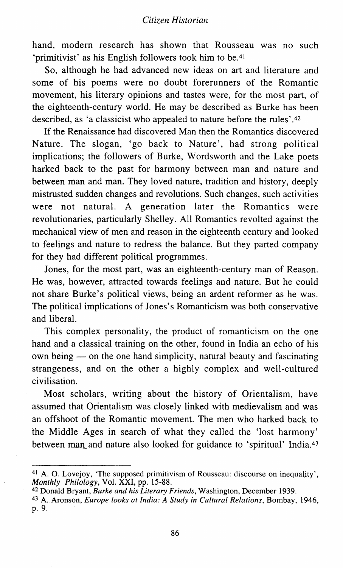hand, modern research has shown that Rousseau was no such 'primitivist' as his English followers took him to be.41

So, although he had advanced new ideas on art and literature and some of his poems were no doubt forerunners of the Romantic movement, his literary opinions and tastes were, for the most part, of the eighteenth-century world. He may be described as Burke has been described, as 'a classicist who appealed to nature before the rules'. 42

If the Renaissance had discovered Man then the Romantics discovered Nature. The slogan, 'go back to Nature', had strong political implications; the followers of Burke, Wordsworth and the Lake poets harked back to the past for harmony between man and nature and between man and man. They loved nature, tradition and history, deeply mistrusted sudden changes and revolutions. Such changes, such activities were not natural. A generation later the Romantics were revolutionaries, particularly Shelley. All Romantics revolted against the mechanical view of men and reason in the eighteenth century and looked to feelings and nature to redress the balance. But they parted company for they had different political programmes.

Jones, for the most part, was an eighteenth-century man of Reason. He was, however, attracted towards feelings and nature. But he could not share Burke's political views, being an ardent reformer as he was. The political implications of Jones's Romanticism was both conservative and liberal.

This complex personality, the product of romanticism on the one hand and a classical training on the other, found in India an echo of his own being — on the one hand simplicity, natural beauty and fascinating strangeness, and on the other a highly complex and well-cultured civilisation.

Most scholars, writing about the history of Orientalism, have assumed that Orientalism was closely linked with medievalism and was an offshoot of the Romantic movement. The men who harked back to the Middle Ages in search of what they called the 'lost harmony' between man and nature also looked for guidance to 'spiritual' India.<sup>43</sup>

<sup>41</sup> A. 0. Lovejoy, 'The supposed primitivism of Rousseau: discourse on inequality', *Monthly Philology,* Vol. XXI, pp. 15-88.

<sup>42</sup> Donald Bryant, *Burke and his Literary Friends,* Washington, December 1939. 43 A. Aronson, *Europe looks at India: A Study in Cultural Relations,* Bombay, 1946,

p. 9.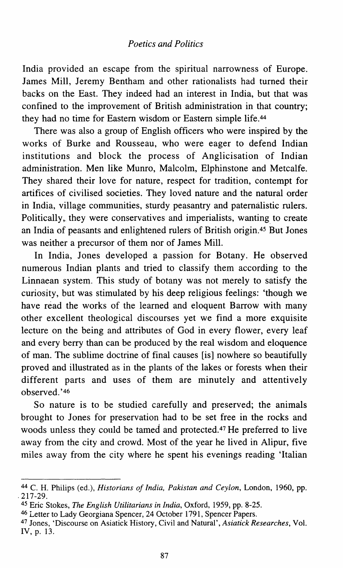India provided an escape from the spiritual narrowness of Europe. James Mill, Jeremy Bentham and other rationalists had turned their backs on the East. They indeed had an interest in India, but that was confined to the improvement of British administration in that country; they had no time for Eastern wisdom or Eastern simple life.44

There was also a group of English officers who were inspired by the works of Burke and Rousseau, who were eager to defend Indian institutions and block the process of Anglicisation of Indian administration. Men like Munro, Malcolm, Elphinstone and Metcalfe. They shared their love for nature, respect for tradition, contempt for artifices of civilised societies. They loved nature and the natural order in India, village communities, sturdy peasantry and paternalistic rulers. Politically, they were conservatives and imperialists, wanting to create an India of peasants and enlightened rulers of British origin.45 But Jones was neither a precursor of them nor of James Mill.

In India, Jones developed a passion for Botany. He observed numerous Indian plants and tried to classify them according to the Linnaean system. This study of botany was not merely to satisfy the curiosity, but was stimulated by his deep religious feelings: 'though we have read the works of the learned and eloquent Barrow with many other excellent theological discourses yet we find a more exquisite lecture on the being and attributes of God in every flower, every leaf and every berry than can be produced by the real wisdom and eloquence of man. The sublime doctrine of final causes [is] nowhere so beautifully proved and illustrated as in the plants of the lakes or forests when their different parts and uses of them are minutely and attentively observed.'46

So nature is to be studied carefully and preserved; the animals brought to Jones for preservation had to be set free in the rocks and woods unless they could be tamed and protected.47 He preferred to live away from the city and crowd. Most of the year he lived in Alipur, five miles away from the city where he spent his evenings reading 'Italian

<sup>44</sup> C. H. Philips (ed.), *Historians of India, Pakistan and Ceylon,* London, 1960, pp . . 217-29.

<sup>45</sup> Eric Stokes, *The English Utilitarians in India,* Oxford, 1959, pp. 8-25.

<sup>46</sup> Letter to Lady Georgiana Spencer, 24 October 1791, Spencer Papers.

<sup>47</sup> Jones, 'Discourse on Asiatick History, Civil and Natural', *Asiatick Researches,* Vol. IV, p. 13.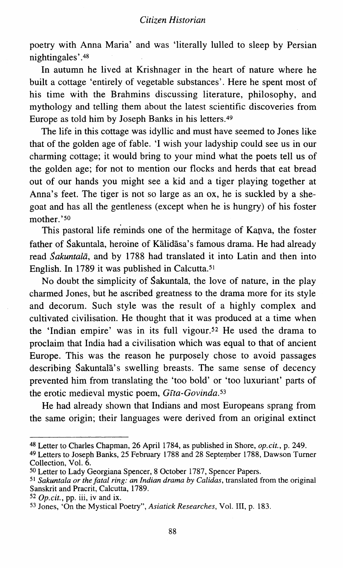poetry with Anna Maria' and was 'literally lulled to sleep by Persian nightingales'. 48

In autumn he lived at Krishnager in the heart of nature where he built a cottage 'entirely of vegetable substances'. Here he spent most of his time with the Brahmins discussing literature, philosophy, and mythology and telling them about the latest scientific discoveries from Europe as told him by Joseph Banks in his letters.49

The life in this cottage was idyllic and must have seemed to Jones like that of the golden age of fable. 'I wish your ladyship could see us in our charming cottage; it would bring to your mind what the poets tell us of the golden age; for not to mention our flocks and herds that eat bread out of our hands you might see a kid and a tiger playing together at Anna's feet. The tiger is not so large as an ox, he is suckled by a shegoat and has all the gentleness (except when he is hungry) of his foster mother.'50

This pastoral life reminds one of the hermitage of Kanva, the foster father of Sakuntala, heroine of Kalidasa's famous drama. He had already read *Sakuntalli,* and by 1788 had translated it into Latin and then into English. In 1789 it was published in Calcutta.51

No doubt the simplicity of Sakuntala, the love of nature, in the play charmed Jones, but he ascribed greatness to the drama more for its style and decorum. Such style was the result of a highly complex and cultivated civilisation. He thought that it was produced at a time when the 'Indian empire' was in its full vigour.52 He used the drama to proclaim that India had a civilisation which was equal to that of ancient Europe. This was the reason he purposely chose to avoid passages describing Sakuntala's swelling breasts. The same sense of decency prevented him from translating the 'too bold' or 'too luxuriant' parts of the erotic medieval mystic poem, *Gfta-Govinda.53* 

He had already shown that Indians and most Europeans sprang from the same origin; their languages were derived from an original extinct

<sup>&</sup>lt;sup>48</sup> Letter to Charles Chapman, 26 April 1784, as published in Shore, *op.cit.*, p. 249.

<sup>49</sup> Letters to Joseph Banks, 25 February 1788 and 28 September 1788, Dawson Turner Collection, Vol. 6.

<sup>50</sup> Letter to Lady Georgiana Spencer, 8 October 1787, Spencer Papers.

<sup>51</sup>*Sakuntala or the fatal ring: an Indian drama by Calidas,* translated from the original Sanskrit and Pracrit, Calcutta, 1789.

 $52$  *Op.cit.*, pp. iii, iv and ix.

<sup>53</sup> Jones, 'On the Mystical Poetry", *Asiatick Researches,* Vol. III, p. 183.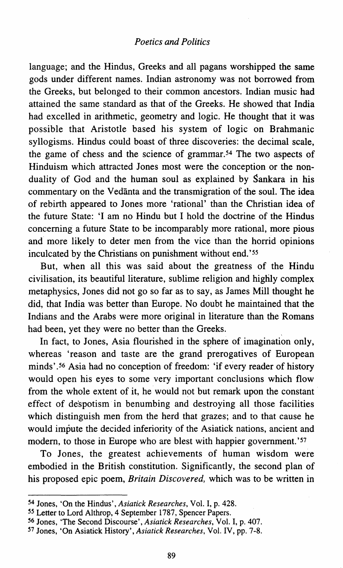language; and the Hindus, Greeks and all pagans worshipped the same gods under different names. Indian astronomy was not borrowed from the Greeks, but belonged to their common ancestors. Indian music had attained the same standard as that of the Greeks. He showed that India had excelled in arithmetic, geometry and logic. He thought that it was possible that Aristotle based his system of logic on Brahmanic syllogisms. Hindus could boast of three discoveries: the decimal scale, the game of chess and the science of grammar.54 The two aspects of Hinduism which attracted Jones most were the conception or the nonduality of God and the human soul as explained by Sankara in his commentary on the Vedanta and the transmigration of the soul. The idea of rebirth appeared to Jones more 'rational' than the Christian idea of the future State: 'I am no Hindu but I hold the doctrine of the Hindus concerning a future State to be incomparably more rational, more pious and more likely to deter men from the vice than the horrid opinions inculcated by the Christians on punishment without end.'<sup>55</sup>

But, when all this was said about the greatness of the Hindu civilisation, its beautiful literature, sublime religion and highly complex metaphysics, Jones did not go so far as to say, as James Mill thought he did, that India was better than Europe. No doubt he maintained that the Indians and the Arabs were more original in literature than the Romans had been, yet they were no better than the Greeks.

In fact, to Jones, Asia flourished in the sphere of imagination only, whereas 'reason and taste are the grand prerogatives of European minds'. 56 Asia had no conception of freedom: 'if every reader of history would open his eyes to some very important conclusions which flow from the whole extent of it, he would not but remark upon the constant effect of despotism in benumbing and destroying all those facilities which distinguish men from the herd that grazes; and to that cause he would impute the decided inferiority of the Asiatick nations, ancient and modem, to those in Europe who are blest with happier govemment.'57

To Jones, the greatest achievements of human wisdom were embodied in the British constitution. Significantly, the second plan of his proposed epic poem, *Britain Discovered,* which was to be written in

<sup>54</sup> Jones, 'On the Hindus', *Asiatick Researches,* Vol. I, p. 428.

*<sup>55</sup>* Letter to Lord Althrop, 4 September 1787, Spencer Papers.

<sup>56</sup> Jones, 'The Second Discourse', *Asiatick Researches,* Vol. I, p. 407.

<sup>57</sup> Jones, 'On Asiatick History', *Asiatick Researches,* Vol. IV, pp. 7-8.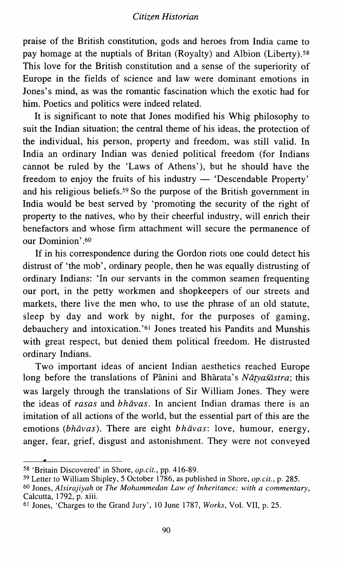#### *Citizen Historian*

praise of the British constitution, gods and heroes from India came to pay homage at the nuptials of Britan (Royalty) and Albion (Liberty).<sup>58</sup> This love for the British constitution and a sense of the superiority of Europe in the fields of science and law were dominant emotions in Jones's mind, as was the romantic fascination which the exotic had for him. Poetics and politics were indeed related.

It is significant to note that Jones modified his Whig philosophy to suit the Indian situation; the central theme of his ideas, the protection of the individual, his person, property and freedom, was still valid. In India an ordinary Indian was denied political freedom (for Indians cannot be ruled by the 'Laws of Athens'), but he should have the freedom to enjoy the fruits of his industry  $-$  'Descendable Property' and his religious beliefs. 59 So the purpose of the British government in India would be best served by 'promoting the security of the right of property to the natives, who by their cheerful industry, will enrich their benefactors and whose firm attachment will secure the permanence of our Dominion'.<sup>60</sup>

If in his correspondence during the Gordon riots one could detect his distrust of 'the mob', ordinary people, then he was equally distrusting of ordinary Indians: 'In our servants in the common seamen frequenting our port, in the petty workmen and shopkeepers of our streets and markets, there live the men who, to use the phrase of an old statute, sleep by day and work by night, for the purposes of gaming, debauchery and intoxication. '61 Jones treated his Pandits and Munshis with great respect, but denied them political freedom. He distrusted ordinary Indians.

Two important ideas of ancient Indian aesthetics reached Europe long before the translations of Pānini and Bhārata's *Nātyasāstra*; this was largely through the translations of Sir William Jones. They were the ideas of *rasas* and *bhavas.* In ancient Indian dramas there is an imitation of all actions of the world, but the essential part of this are the emotions *(bhavas).* There are eight *bhavas:* love, humour, energy, anger, fear, grief, disgust and astonishment. They were not conveyed

<sup>58</sup> 'Britain Discovered' in Shore, *op.cit.,* pp. 416-89.

<sup>59</sup> Letter to William Shipley, 5 October 1786, as published in Shore, *op.cit.,* p. 285.

<sup>60</sup> Jones, *Alsirajiyah* or *The Mohammedan Law of Inheritance; with a commentary,*  Calcutta, 1792, p. xiii.

<sup>&</sup>lt;sup>61</sup> Jones, 'Charges to the Grand Jury', 10 June 1787, *Works*, Vol. VII, p. 25.